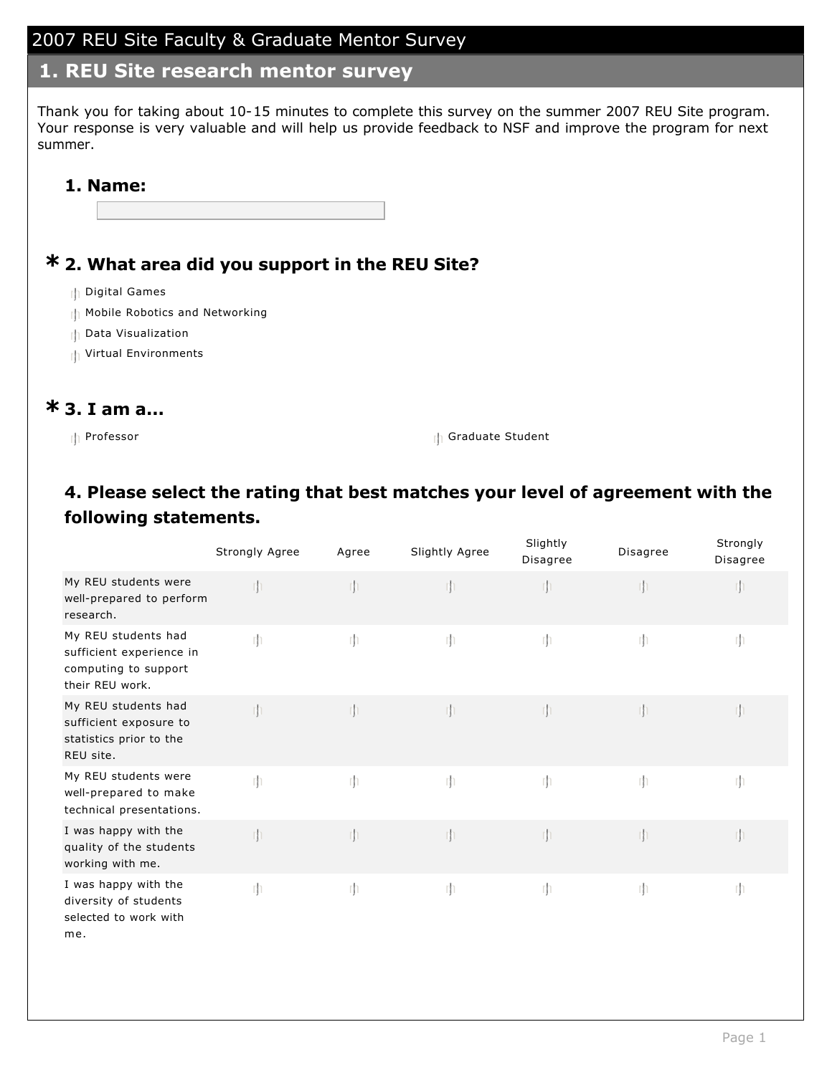#### 2007 REU Site Faculty & Graduate Mentor Survey

#### **1. REU Site research mentor survey**

Thank you for taking about 10-15 minutes to complete this survey on the summer 2007 REU Site program. Your response is very valuable and will help us provide feedback to NSF and improve the program for next summer.

#### **1. Name:**

## **2. What area did you support in the REU Site? \***

- Digital Games
- $\bigcup$ Mobile Robotics and Networking
- Data Visualization mnklj
- Virtual Environments mnklj

# **3. I am a... \***

#### Professor **Contract Manual Manual Manual Manual Manual Manual Manual Manual Manual Manual Manual Manual Manual M**

#### **4. Please select the rating that best matches your level of agreement with the following statements.**

|                                                                                            | Strongly Agree | Agree | Slightly Agree | Slightly<br>Disagree | Disagree | Strongly<br>Disagree |
|--------------------------------------------------------------------------------------------|----------------|-------|----------------|----------------------|----------|----------------------|
| My REU students were<br>well-prepared to perform<br>research.                              |                |       |                |                      |          |                      |
| My REU students had<br>sufficient experience in<br>computing to support<br>their REU work. |                |       |                |                      |          |                      |
| My REU students had<br>sufficient exposure to<br>statistics prior to the<br>REU site.      |                |       |                |                      |          |                      |
| My REU students were<br>well-prepared to make<br>technical presentations.                  |                |       |                |                      |          |                      |
| I was happy with the<br>quality of the students<br>working with me.                        |                |       |                |                      |          |                      |
| I was happy with the<br>diversity of students<br>selected to work with<br>me.              |                |       |                |                      |          |                      |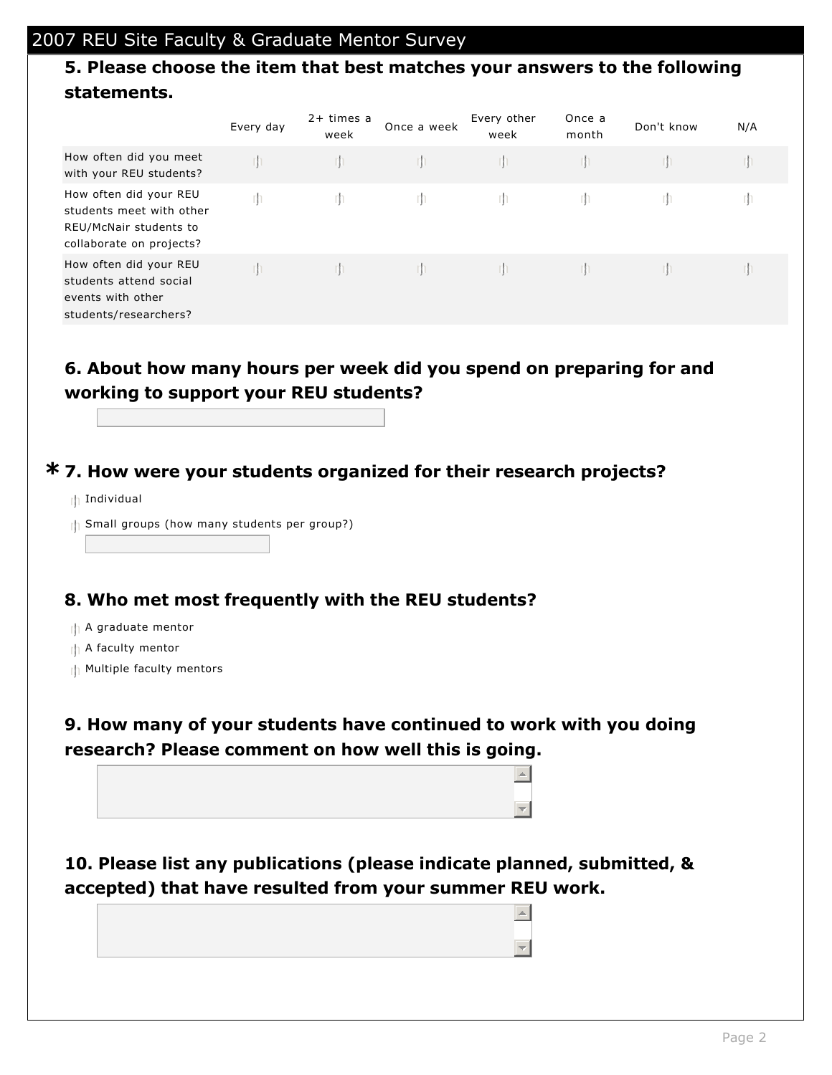**5. Please choose the item that best matches your answers to the following statements.**

|                                                                                                          | Every day | $2+$ times a<br>week | Once a week | Every other<br>week | Once a<br>month | Don't know | N/A |
|----------------------------------------------------------------------------------------------------------|-----------|----------------------|-------------|---------------------|-----------------|------------|-----|
| How often did you meet<br>with your REU students?                                                        |           |                      |             |                     |                 |            |     |
| How often did your REU<br>students meet with other<br>REU/McNair students to<br>collaborate on projects? |           |                      |             |                     |                 |            |     |
| How often did your REU<br>students attend social<br>events with other<br>students/researchers?           |           |                      |             |                     |                 |            |     |

#### **6. About how many hours per week did you spend on preparing for and working to support your REU students?**

## **7. How were your students organized for their research projects? \***

 $\int$ Individual

Small groups (how many students per group?)

#### **8. Who met most frequently with the REU students?**

 $\bigcup$ A graduate mentor A faculty mentor  $\mathbf{r}$ 

 $\bigcup$ Multiple faculty mentors

**9. How many of your students have continued to work with you doing research? Please comment on how well this is going.**



**10. Please list any publications (please indicate planned, submitted, & accepted) that have resulted from your summer REU work.**

 $\left| \right|$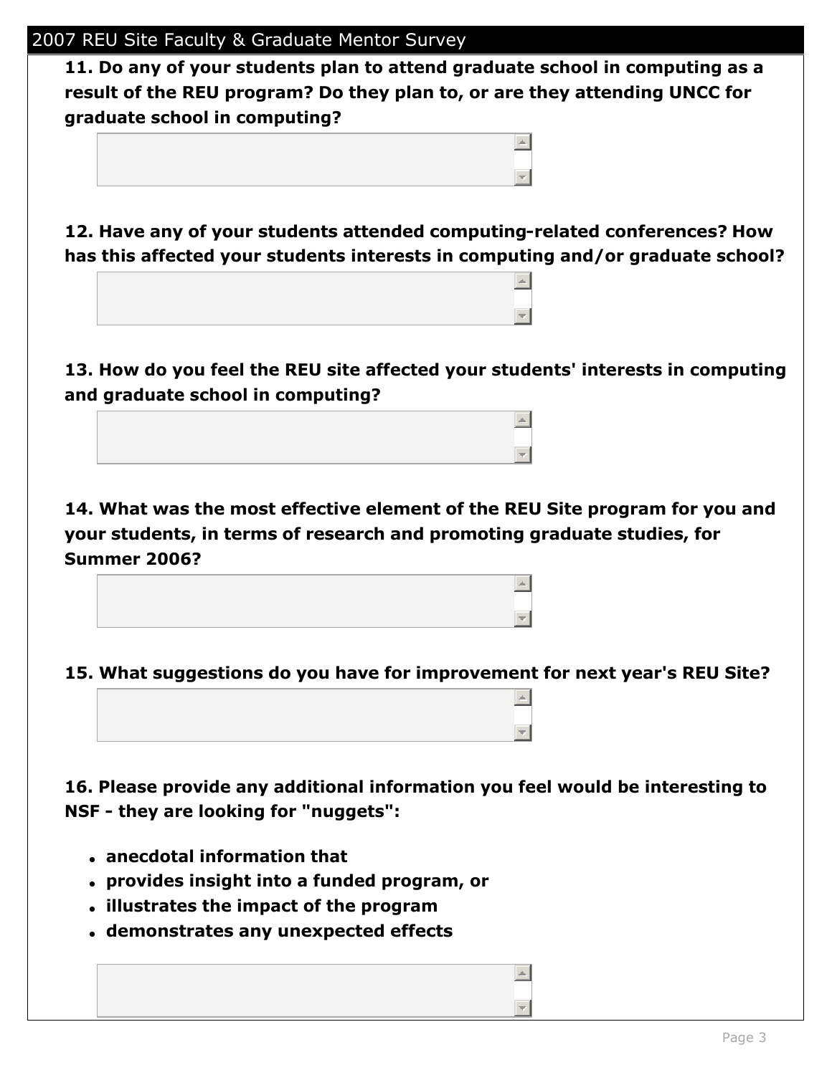#### 2007 REU Site Faculty & Graduate Mentor Survey

**11. Do any of your students plan to attend graduate school in computing as a result of the REU program? Do they plan to, or are they attending UNCC for graduate school in computing?**

**12. Have any of your students attended computing-related conferences? How has this affected your students interests in computing and/or graduate school?**

 $\triangle$ 

 $\left| \Delta \right|$ 

 $\left. \right. \right. \left. \right. \left. \right. \left. \right. \left. \right. \left. \right. \left. \right. \left. \left. \right. \left. \right. \left. \right. \left. \left. \right. \left. \right. \left. \left. \right. \right. \left. \left. \right. \left. \right. \left. \right. \left. \left. \right. \right. \left. \left. \right. \left. \right. \left. \right. \left. \right. \left. \left. \right. \right. \left. \left. \right. \right. \left. \left. \right. \left. \left. \right. \right. \left. \left. \right. \right. \left. \left. \right. \$ 

 $\left. \blacktriangle \right.$ 

 $\triangle$ 

**13. How do you feel the REU site affected your students' interests in computing and graduate school in computing?**

**14. What was the most effective element of the REU Site program for you and your students, in terms of research and promoting graduate studies, for Summer 2006?**

**15. What suggestions do you have for improvement for next year's REU Site?**

**16. Please provide any additional information you feel would be interesting to NSF - they are looking for "nuggets":** 

- **anecdotal information that**
- **provides insight into a funded program, or**
- **illustrates the impact of the program**
- **demonstrates any unexpected effects**